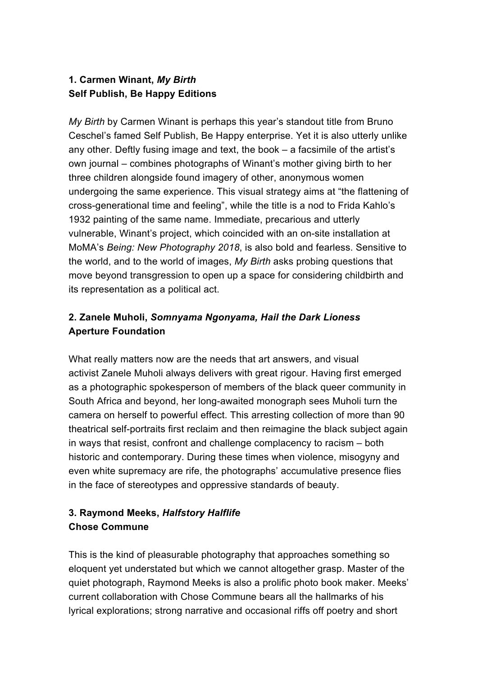### **1. Carmen Winant,** *My Birth* **Self Publish, Be Happy Editions**

*My Birth* by Carmen Winant is perhaps this year's standout title from Bruno Ceschel's famed Self Publish, Be Happy enterprise. Yet it is also utterly unlike any other. Deftly fusing image and text, the book – a facsimile of the artist's own journal – combines photographs of Winant's mother giving birth to her three children alongside found imagery of other, anonymous women undergoing the same experience. This visual strategy aims at "the flattening of cross-generational time and feeling", while the title is a nod to Frida Kahlo's 1932 painting of the same name. Immediate, precarious and utterly vulnerable, Winant's project, which coincided with an on-site installation at MoMA's *Being: New Photography 2018*, is also bold and fearless. Sensitive to the world, and to the world of images, *My Birth* asks probing questions that move beyond transgression to open up a space for considering childbirth and its representation as a political act.

## **2. Zanele Muholi,** *Somnyama Ngonyama, Hail the Dark Lioness* **Aperture Foundation**

What really matters now are the needs that art answers, and visual activist Zanele Muholi always delivers with great rigour. Having first emerged as a photographic spokesperson of members of the black queer community in South Africa and beyond, her long-awaited monograph sees Muholi turn the camera on herself to powerful effect. This arresting collection of more than 90 theatrical self-portraits first reclaim and then reimagine the black subject again in ways that resist, confront and challenge complacency to racism – both historic and contemporary. During these times when violence, misogyny and even white supremacy are rife, the photographs' accumulative presence flies in the face of stereotypes and oppressive standards of beauty.

# **3. Raymond Meeks,** *Halfstory Halflife* **Chose Commune**

This is the kind of pleasurable photography that approaches something so eloquent yet understated but which we cannot altogether grasp. Master of the quiet photograph, Raymond Meeks is also a prolific photo book maker. Meeks' current collaboration with Chose Commune bears all the hallmarks of his lyrical explorations; strong narrative and occasional riffs off poetry and short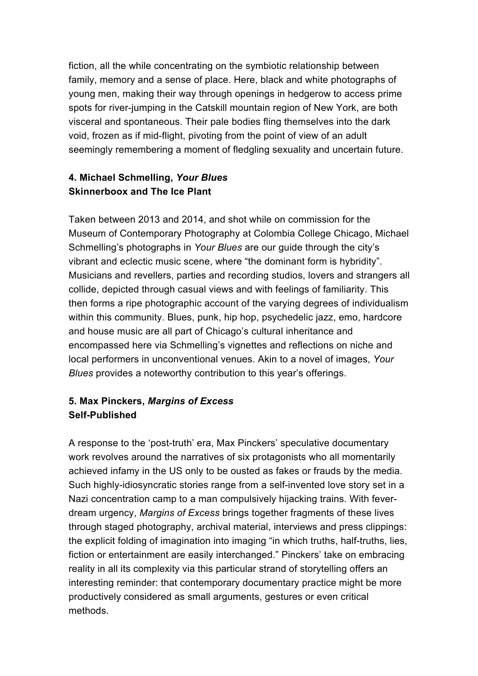fiction, all the while concentrating on the symbiotic relationship between family, memory and a sense of place. Here, black and white photographs of young men, making their way through openings in hedgerow to access prime spots for river-jumping in the Catskill mountain region of New York, are both visceral and spontaneous. Their pale bodies fling themselves into the dark void, frozen as if mid-flight, pivoting from the point of view of an adult seemingly remembering a moment of fledgling sexuality and uncertain future.

### **4. Michael Schmelling,** *Your Blues* **Skinnerboox and The Ice Plant**

Taken between 2013 and 2014, and shot while on commission for the Museum of Contemporary Photography at Colombia College Chicago, Michael Schmelling's photographs in *Your Blues* are our guide through the city's vibrant and eclectic music scene, where "the dominant form is hybridity". Musicians and revellers, parties and recording studios, lovers and strangers all collide, depicted through casual views and with feelings of familiarity. This then forms a ripe photographic account of the varying degrees of individualism within this community. Blues, punk, hip hop, psychedelic jazz, emo, hardcore and house music are all part of Chicago's cultural inheritance and encompassed here via Schmelling's vignettes and reflections on niche and local performers in unconventional venues. Akin to a novel of images, *Your Blues* provides a noteworthy contribution to this year's offerings.

### **5. Max Pinckers,** *Margins of Excess* **Self-Published**

A response to the 'post-truth' era, Max Pinckers' speculative documentary work revolves around the narratives of six protagonists who all momentarily achieved infamy in the US only to be ousted as fakes or frauds by the media. Such highly-idiosyncratic stories range from a self-invented love story set in a Nazi concentration camp to a man compulsively hijacking trains. With feverdream urgency, *Margins of Excess* brings together fragments of these lives through staged photography, archival material, interviews and press clippings: the explicit folding of imagination into imaging "in which truths, half-truths, lies, fiction or entertainment are easily interchanged." Pinckers' take on embracing reality in all its complexity via this particular strand of storytelling offers an interesting reminder: that contemporary documentary practice might be more productively considered as small arguments, gestures or even critical methods.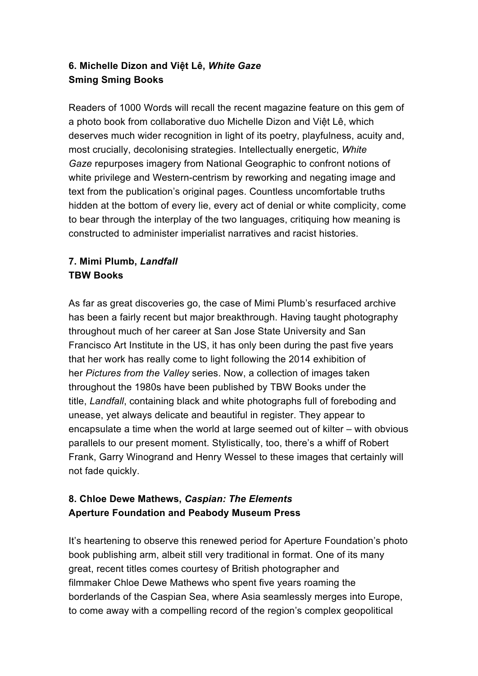### **6. Michelle Dizon and Việt Lê,** *White Gaze* **Sming Sming Books**

Readers of 1000 Words will recall the recent magazine feature on this gem of a photo book from collaborative duo Michelle Dizon and Việt Lê, which deserves much wider recognition in light of its poetry, playfulness, acuity and, most crucially, decolonising strategies. Intellectually energetic, *White Gaze* repurposes imagery from National Geographic to confront notions of white privilege and Western-centrism by reworking and negating image and text from the publication's original pages. Countless uncomfortable truths hidden at the bottom of every lie, every act of denial or white complicity, come to bear through the interplay of the two languages, critiquing how meaning is constructed to administer imperialist narratives and racist histories.

## **7. Mimi Plumb,** *Landfall* **TBW Books**

As far as great discoveries go, the case of Mimi Plumb's resurfaced archive has been a fairly recent but major breakthrough. Having taught photography throughout much of her career at San Jose State University and San Francisco Art Institute in the US, it has only been during the past five years that her work has really come to light following the 2014 exhibition of her *Pictures from the Valley* series. Now, a collection of images taken throughout the 1980s have been published by TBW Books under the title, *Landfall*, containing black and white photographs full of foreboding and unease, yet always delicate and beautiful in register. They appear to encapsulate a time when the world at large seemed out of kilter – with obvious parallels to our present moment. Stylistically, too, there's a whiff of Robert Frank, Garry Winogrand and Henry Wessel to these images that certainly will not fade quickly.

#### **8. Chloe Dewe Mathews,** *Caspian: The Elements* **Aperture Foundation and Peabody Museum Press**

It's heartening to observe this renewed period for Aperture Foundation's photo book publishing arm, albeit still very traditional in format. One of its many great, recent titles comes courtesy of British photographer and filmmaker Chloe Dewe Mathews who spent five years roaming the borderlands of the Caspian Sea, where Asia seamlessly merges into Europe, to come away with a compelling record of the region's complex geopolitical